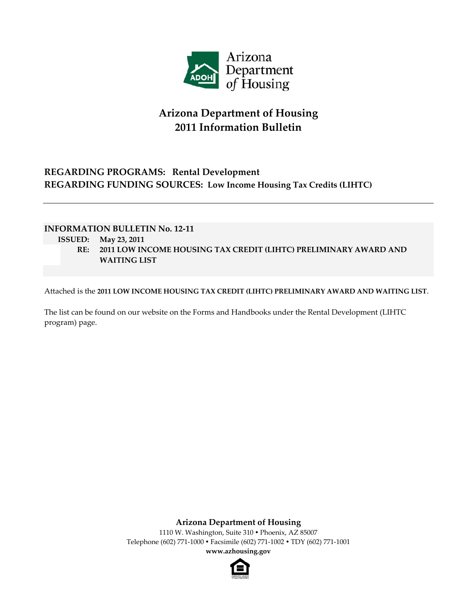

# **Arizona Department of Housing 2011 Information Bulletin**

## **REGARDING PROGRAMS: Rental Development REGARDING FUNDING SOURCES: Low Income Housing Tax Credits (LIHTC)**

### **INFORMATION BULLETIN No. 12‐11**

- **ISSUED: May 23, 2011**
	- **RE: 2011 LOW INCOME HOUSING TAX CREDIT (LIHTC) PRELIMINARY AWARD AND WAITING LIST**

Attached is the **2011 LOW INCOME HOUSING TAX CREDIT (LIHTC) PRELIMINARY AWARD AND WAITING LIST**.

The list can be found on our website on the Forms and Handbooks under the Rental Development (LIHTC program) page.

**Arizona Department of Housing**

1110 W. Washington, Suite 310 . Phoenix, AZ 85007 Telephone (602) 771‐1000 Facsimile (602) 771‐1002 TDY (602) 771‐1001 **www.azhousing.gov**

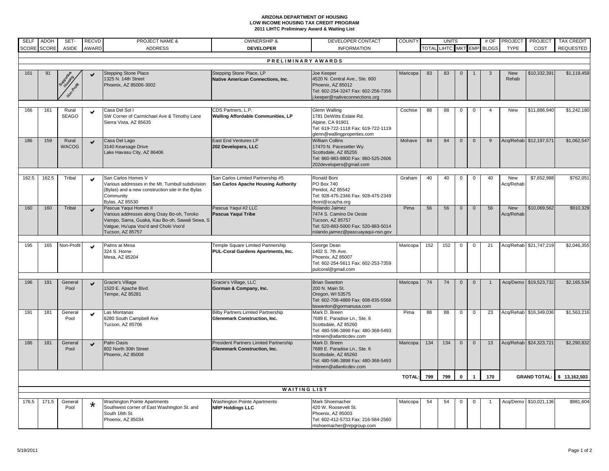#### **ARIZONA DEPARTMENT OF HOUSING LOW INCOME HOUSING TAX CREDIT PROGRAM2011 LIHTC Preliminary Award & Waiting List**

| <b>SELF</b>        | ADOH                | SET-                  | <b>RECVD</b>             | <b>PROJECT NAME &amp;</b>                                                                                                                                                        | <b>OWNERSHIP &amp;</b>                                                           | DEVELOPER CONTACT                                                                                                                           | <b>COUNTY</b> | <b>UNITS</b> |              |                | # OF           | <b>PROJECT</b>            | <b>PROJECT</b>   | <b>TAX CREDIT</b>         |                  |
|--------------------|---------------------|-----------------------|--------------------------|----------------------------------------------------------------------------------------------------------------------------------------------------------------------------------|----------------------------------------------------------------------------------|---------------------------------------------------------------------------------------------------------------------------------------------|---------------|--------------|--------------|----------------|----------------|---------------------------|------------------|---------------------------|------------------|
| <b>SCORE</b>       | <b>SCORE</b>        | ASIDE                 | AWARD                    | <b>ADDRESS</b>                                                                                                                                                                   | <b>DEVELOPER</b>                                                                 | <b>INFORMATION</b>                                                                                                                          |               |              |              |                |                | TOTAL LIHTC MKT EMP BLDGS | <b>TYPE</b>      | COST                      | <b>REQUESTED</b> |
|                    |                     |                       |                          |                                                                                                                                                                                  |                                                                                  |                                                                                                                                             |               |              |              |                |                |                           |                  |                           |                  |
| PRELIMINARY AWARDS |                     |                       |                          |                                                                                                                                                                                  |                                                                                  |                                                                                                                                             |               |              |              |                |                |                           |                  |                           |                  |
| 161                | 91                  |                       |                          | <b>Stepping Stone Place</b><br>1325 N. 14th Street<br>Phoenix, AZ 85006-3002                                                                                                     | Stepping Stone Place, LP<br><b>Native American Connections, Inc.</b>             | Joe Keeper<br>4520 N. Central Ave., Ste. 600<br>Phoenix, AZ 85012<br>Tel: 602-254-3247 Fax: 602-256-7356<br>i.keeper@nativeconnections.org  | Maricopa      | 83           | 83           | $\mathbf{0}$   |                | 3                         | New<br>Rehab     | \$10,332,391              | \$1,119,459      |
| 166                | 161                 | Rural<br><b>SEAGO</b> |                          | Casa Del Sol I<br>SW Corner of Carmichael Ave & Timothy Lane<br>Sierra Vista, AZ 85635                                                                                           | CDS Partners, L.P.<br>Walling Affordable Communities, LP                         | Glenn Walling<br>1781 DeWitts Estate Rd.<br>Alpine, CA 91901<br>Tel: 619-722-1118 Fax: 619-722-1119<br>glenn@wallingproperties.com          | Cochise       | 88           | 88           | $\mathbf{0}$   | $\Omega$       | $\boldsymbol{\Delta}$     | New              | \$11,886,940              | \$1,242,180      |
| 186                | 159                 | Rural<br><b>WACOG</b> | $\overline{\phantom{0}}$ | Casa Del Lago<br>3140 Kearsage Drive<br>Lake Havasu City, AZ 86406                                                                                                               | East End Ventures LP<br>202 Developers, LLC                                      | <b>William Collins</b><br>17470 N. Pacesetter Wy.<br>Scottsdale, AZ 85255<br>Tel: 860-983-8800 Fax: 860-525-2606<br>202developers@gmail.com | Mohave        | 84           | 84           | $\mathbf 0$    | $\overline{0}$ | 9                         |                  | Acq/Rehab \$12,197,571    | \$1,062,547      |
| 162.5              | 162.5               | Tribal                | M                        | San Carlos Homes V<br>Various addresses in the Mt. Turnbull subdivision<br>(Bylas) and a new construction site in the Bylas<br>Community<br>Bylas, AZ 85530                      | San Carlos Limited Partnership #5<br>San Carlos Apache Housing Authority         | Ronald Boni<br>PO Box 740<br>Peridot, AZ 85542<br>Tel: 928-475-2346 Fax: 928-475-2349<br>rboni@scazha.org                                   | Graham        | 40           | 40           | 0              | $\Omega$       | 40                        | New<br>Acq/Rehab | \$7,652,988               | \$762,051        |
| 160                | 160                 | Tribal                | $\checkmark$             | Pascua Yaqui Homes II<br>Various addresses along Osay Bo-oh, Toroko<br>/ampo, Sama, Guaka, Kau Bo-oh, Sawali Sewa, S<br>Vatgue, Hu'upa Voo'd and Choki Voo'd<br>Tucson, AZ 85757 | Pascua Yaqui #2 LLC<br>Pascua Yaqui Tribe                                        | Rolando Jaimez<br>7474 S. Camino De Oeste<br>Tucson, AZ 85757<br>Tel: 520-883-5000 Fax: 520-883-5014<br>rolando.jaimez@pascuayaqui-nsn.gov  | Pima          | 56           | 56           | $\mathbf 0$    | $\mathbf 0$    | 56                        | New<br>Acq/Rehab | \$10,069,562              | \$910,329        |
| 195                | 165                 | Non-Profit            | $\overline{\phantom{0}}$ | Palms at Mesa<br>324 S. Horne<br>Mesa, AZ 85204                                                                                                                                  | Temple Square Limited Partnership<br>PUL-Coral Gardens Apartments, Inc.          | George Dean<br>1402 S. 7th Ave.<br>Phoenix, AZ 85007<br>Tel: 602-254-5611 Fax: 602-253-7359<br>pulcoral@gmail.com                           | Maricopa      | 152          | 152          | $\mathbf 0$    | $\Omega$       | 21                        |                  | Acq/Rehab \$21,747,219    | \$2,046,355      |
| 196                | 191                 | General<br>Pool       | $\checkmark$             | Gracie's Village<br>1520 E. Apache Blvd.<br>Tempe, AZ 85281                                                                                                                      | Gracie's Village, LLC<br>Gorman & Company, Inc.                                  | <b>Brian Swanton</b><br>200 N. Main St.<br>Oregon, WI 53575<br>Tel: 602-708-4889 Fax: 608-835-5568<br>bswanton@gormanusa.com                | Maricopa      | 74           | 74           | $\mathbf{0}$   | $\Omega$       |                           | Acq/Demo         | \$19,523,732              | \$2,165,534      |
| 191                | 181                 | General<br>Pool       | $\checkmark$             | Las Montanas<br>6280 South Campbell Ave<br>Tucson, AZ 85706                                                                                                                      | <b>Bilby Partners Limited Partnership</b><br><b>Glennmark Construction, Inc.</b> | Mark D. Breen<br>7689 E. Paradise Ln., Ste. 6<br>Scottsdale, AZ 85260<br>Tel: 480-596-3898 Fax: 480-368-5493<br>mbreen@atlanticdev.com      | Pima          | 88           | 88           | $\mathsf 0$    | $\mathbf 0$    | 23                        |                  | Acq/Rehab \$16,349,036    | \$1,563,216      |
| 186                | 181                 | General<br>Pool       | $\checkmark$             | <b>Palm Oasis</b><br>802 North 30th Street<br>Phoenix, AZ 85008                                                                                                                  | President Partners Limited Partnership<br><b>Glennmark Construction, Inc.</b>    | Mark D. Breen<br>7689 E. Paradise Ln., Ste. 6<br>Scottsdale, AZ 85260<br>Tel: 480-596-3898 Fax: 480-368-5493<br>mbreen@atlanticdev.com      | Maricopa      | 134          | 134          | $\overline{0}$ | $\mathbf{0}$   | 13                        |                  | Acq/Rehab \$24,323,721    | \$2,290,832      |
|                    |                     |                       |                          |                                                                                                                                                                                  |                                                                                  | <b>TOTAL:</b>                                                                                                                               | 799           | 799          | $\mathbf{0}$ |                | 170            |                           |                  | GRAND TOTAL: \$13,162,503 |                  |
|                    |                     |                       |                          |                                                                                                                                                                                  |                                                                                  |                                                                                                                                             |               |              |              |                |                |                           |                  |                           |                  |
|                    | <b>WAITING LIST</b> |                       |                          |                                                                                                                                                                                  |                                                                                  |                                                                                                                                             |               |              |              |                |                |                           |                  |                           |                  |
| 176.5              | 171.5               | General<br>Pool       | $\star$                  | Washington Pointe Apartments<br>Southwest corner of East Washington St. and<br>South 16th St.<br>Phoenix, AZ 85034                                                               | Washington Pointe Apartments<br><b>NRP Holdings LLC</b>                          | Mark Shoemacher<br>420 W. Roosevelt St.<br>Phoenix, AZ 85003<br>Tel: 602-412-5733 Fax: 216-584-2560<br>mshoemacher@nrpgroup.com             | Maricopa      | 54           | 54           | $\mathbf 0$    |                |                           | Acq/Demo         | \$10,021,136              | \$981,604        |